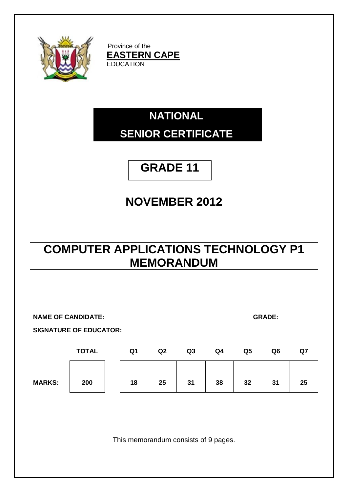

Province of the **EASTERN CAPE EDUCATION** 

# **NATIONAL SENIOR CERTIFICATE**

# **GRADE 11**

# **NOVEMBER 2012**

## **COMPUTER APPLICATIONS TECHNOLOGY P1 MEMORANDUM**

| <b>NAME OF CANDIDATE:</b><br><b>SIGNATURE OF EDUCATOR:</b> |              |                                      |    |                |    |                | <b>GRADE:</b> |    |
|------------------------------------------------------------|--------------|--------------------------------------|----|----------------|----|----------------|---------------|----|
|                                                            | <b>TOTAL</b> | Q1                                   | Q2 | Q <sub>3</sub> | Q4 | Q <sub>5</sub> | Q6            | Q7 |
| <b>MARKS:</b>                                              | 200          | 18                                   | 25 | 31             | 38 | 32             | 31            | 25 |
|                                                            |              | This memorandum consists of 9 pages. |    |                |    |                |               |    |
|                                                            |              |                                      |    |                |    |                |               |    |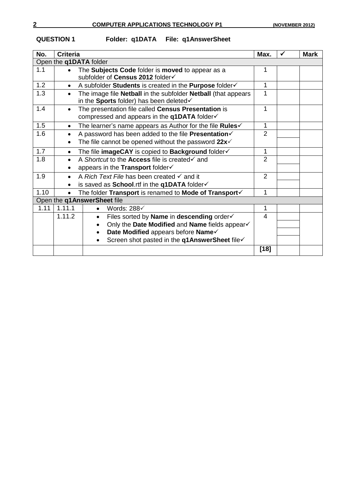**QUESTION 1 Folder: q1DATA File: q1AnswerSheet**

| No.                    | <b>Criteria</b>                                                                                                                     | Max.           | <b>Mark</b> |
|------------------------|-------------------------------------------------------------------------------------------------------------------------------------|----------------|-------------|
| Open the q1DATA folder |                                                                                                                                     |                |             |
| 1.1                    | The Subjects Code folder is moved to appear as a<br>$\bullet$<br>subfolder of Census 2012 folder√                                   |                |             |
| 1.2                    | A subfolder Students is created in the Purpose folder<br>$\bullet$                                                                  | 1              |             |
| 1.3                    | The image file <b>Netball</b> in the subfolder <b>Netball</b> (that appears<br>$\bullet$<br>in the Sports folder) has been deleted√ |                |             |
| 1.4                    | The presentation file called Census Presentation is<br>$\bullet$<br>compressed and appears in the $q1DATA$ folder $\checkmark$      | 1              |             |
| 1.5                    | The learner's name appears as Author for the file Rules $\checkmark$<br>$\bullet$                                                   | 1              |             |
| 1.6                    | A password has been added to the file Presentation                                                                                  | $\overline{2}$ |             |
|                        | The file cannot be opened without the password $22x2$                                                                               |                |             |
| 1.7                    | The file imageCAY is copied to Background folder√<br>$\bullet$                                                                      | 1              |             |
| 1.8                    | A Shortcut to the Access file is created√ and<br>$\bullet$<br>appears in the Transport folder√                                      | $\overline{2}$ |             |
| 1.9                    | A Rich Text File has been created $\checkmark$ and it<br>$\bullet$                                                                  | $\overline{2}$ |             |
|                        | is saved as School.rtf in the q1DATA folder√                                                                                        |                |             |
| 1.10                   | The folder Transport is renamed to Mode of Transport                                                                                | 1              |             |
|                        | Open the q1AnswerSheet file                                                                                                         |                |             |
| 1.11                   | 1.11.1<br>Words: $288<$                                                                                                             | 1              |             |
|                        | 1.11.2<br>Files sorted by Name in descending order√<br>$\bullet$                                                                    | 4              |             |
|                        | Only the Date Modified and Name fields appear√                                                                                      |                |             |
|                        | Date Modified appears before Name<br>$\bullet$                                                                                      |                |             |
|                        | Screen shot pasted in the q1AnswerSheet file√                                                                                       |                |             |
|                        |                                                                                                                                     | $[18]$         |             |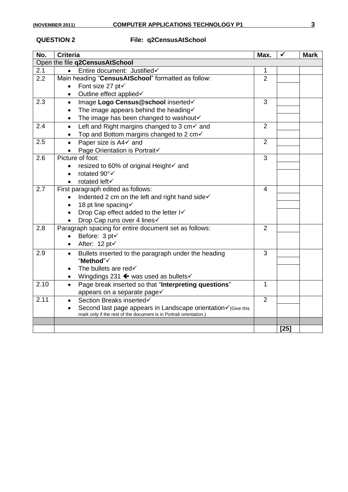### **QUESTION 2 File: q2CensusAtSchool**

| No.  | <b>Criteria</b>                                                                                                                     | Max.           | ✓      | <b>Mark</b> |  |  |  |
|------|-------------------------------------------------------------------------------------------------------------------------------------|----------------|--------|-------------|--|--|--|
|      | Open the file q2CensusAtSchool                                                                                                      |                |        |             |  |  |  |
| 2.1  | Entire document: Justified<br>$\bullet$                                                                                             | 1              |        |             |  |  |  |
| 2.2  | Main heading "CensusAtSchool" formatted as follow:                                                                                  | $\overline{2}$ |        |             |  |  |  |
|      | Font size 27 pt√<br>$\bullet$                                                                                                       |                |        |             |  |  |  |
|      | Outline effect applied√<br>$\bullet$                                                                                                |                |        |             |  |  |  |
| 2.3  | Image Logo Census@school inserted√<br>$\bullet$                                                                                     | 3              |        |             |  |  |  |
|      | The image appears behind the heading $\checkmark$<br>$\bullet$                                                                      |                |        |             |  |  |  |
|      | The image has been changed to washout√<br>$\bullet$                                                                                 |                |        |             |  |  |  |
| 2.4  | Left and Right margins changed to 3 $cm\checkmark$ and<br>$\bullet$                                                                 | $\overline{2}$ |        |             |  |  |  |
|      | Top and Bottom margins changed to 2 cm√<br>$\bullet$                                                                                |                |        |             |  |  |  |
| 2.5  | Paper size is A4√ and<br>$\bullet$                                                                                                  | $\overline{2}$ |        |             |  |  |  |
|      | Page Orientation is Portrait√                                                                                                       |                |        |             |  |  |  |
| 2.6  | Picture of foot:                                                                                                                    | 3              |        |             |  |  |  |
|      | resized to 60% of original Height√ and                                                                                              |                |        |             |  |  |  |
|      | rotated 90°√<br>$\bullet$                                                                                                           |                |        |             |  |  |  |
|      | rotated left√<br>$\bullet$                                                                                                          |                |        |             |  |  |  |
| 2.7  | First paragraph edited as follows:                                                                                                  | 4              |        |             |  |  |  |
|      | Indented 2 cm on the left and right hand sidev                                                                                      |                |        |             |  |  |  |
|      | 18 pt line spacing√<br>$\bullet$                                                                                                    |                |        |             |  |  |  |
|      | Drop Cap effect added to the letter I√                                                                                              |                |        |             |  |  |  |
|      | Drop Cap runs over 4 lines√                                                                                                         |                |        |             |  |  |  |
| 2.8  | Paragraph spacing for entire document set as follows:                                                                               | 2              |        |             |  |  |  |
|      | Before: 3 pt√                                                                                                                       |                |        |             |  |  |  |
|      | After: 12 pt√<br>$\bullet$                                                                                                          |                |        |             |  |  |  |
| 2.9  | Bullets inserted to the paragraph under the heading<br>$\bullet$                                                                    | 3              |        |             |  |  |  |
|      | "Method"√                                                                                                                           |                |        |             |  |  |  |
|      | The bullets are red√<br>$\bullet$                                                                                                   |                |        |             |  |  |  |
|      | Wingdings 231 $\leftarrow$ was used as bullets $\checkmark$<br>$\bullet$                                                            |                |        |             |  |  |  |
| 2.10 | Page break inserted so that "Interpreting questions"<br>$\bullet$                                                                   | 1              |        |             |  |  |  |
|      | appears on a separate page√                                                                                                         |                |        |             |  |  |  |
| 2.11 | Section Breaks inserted√                                                                                                            | $\overline{2}$ |        |             |  |  |  |
|      | Second last page appears in Landscape orientation√ (Give this<br>mark only if the rest of the document is in Portrait orientation.) |                |        |             |  |  |  |
|      |                                                                                                                                     |                |        |             |  |  |  |
|      |                                                                                                                                     |                | $[25]$ |             |  |  |  |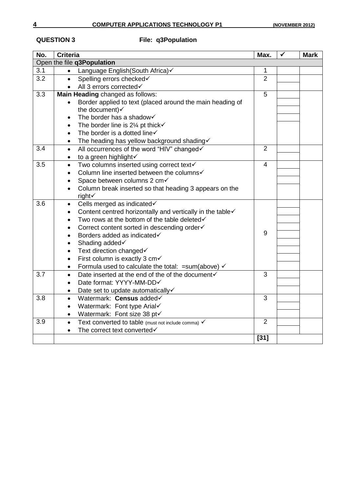## **QUESTION 3 File: q3Population**

| No. | <b>Criteria</b>                                                        | Max.           | ✓ | <b>Mark</b> |
|-----|------------------------------------------------------------------------|----------------|---|-------------|
|     | Open the file q3Population                                             |                |   |             |
| 3.1 | Language English(South Africa)√                                        | 1              |   |             |
| 3.2 | Spelling errors checked√<br>$\bullet$                                  | $\overline{2}$ |   |             |
|     | • All 3 errors corrected                                               |                |   |             |
| 3.3 | Main Heading changed as follows:                                       | $\overline{5}$ |   |             |
|     | Border applied to text (placed around the main heading of              |                |   |             |
|     | the document)                                                          |                |   |             |
|     | The border has a shadow<br>$\bullet$                                   |                |   |             |
|     | The border line is 21/4 pt thick $\checkmark$<br>$\bullet$             |                |   |             |
|     | The border is a dotted line√<br>$\bullet$                              |                |   |             |
|     | The heading has yellow background shading<br>$\bullet$                 |                |   |             |
| 3.4 | All occurrences of the word "HIV" changed√<br>$\bullet$                | $\overline{2}$ |   |             |
|     | to a green highlight√<br>$\bullet$                                     |                |   |             |
| 3.5 | Two columns inserted using correct text√<br>$\bullet$                  | $\overline{4}$ |   |             |
|     | Column line inserted between the columns√                              |                |   |             |
|     | Space between columns 2 cm√                                            |                |   |             |
|     | Column break inserted so that heading 3 appears on the                 |                |   |             |
|     | right√                                                                 |                |   |             |
| 3.6 | Cells merged as indicated√<br>$\bullet$                                |                |   |             |
|     | Content centred horizontally and vertically in the table√<br>$\bullet$ |                |   |             |
|     | Two rows at the bottom of the table deleted√<br>$\bullet$              |                |   |             |
|     | Correct content sorted in descending order√<br>$\bullet$               |                |   |             |
|     | Borders added as indicated√<br>$\bullet$                               | 9              |   |             |
|     | Shading added√<br>$\bullet$                                            |                |   |             |
|     | Text direction changed√<br>$\bullet$                                   |                |   |             |
|     | First column is exactly 3 cm<br>$\bullet$                              |                |   |             |
|     | Formula used to calculate the total: $=sum(above)$ $\checkmark$        |                |   |             |
| 3.7 | Date inserted at the end of the of the document√<br>$\bullet$          | 3              |   |             |
|     | Date format: YYYY-MM-DD√<br>$\bullet$                                  |                |   |             |
|     | Date set to update automatically√<br>$\bullet$                         |                |   |             |
| 3.8 | Watermark: Census added<br>$\bullet$                                   | 3              |   |             |
|     | Watermark: Font type Arial√<br>$\bullet$                               |                |   |             |
|     | Watermark: Font size 38 pt√<br>$\bullet$                               |                |   |             |
| 3.9 | Text converted to table (must not include comma) √<br>$\bullet$        | $\overline{2}$ |   |             |
|     | The correct text converted                                             |                |   |             |
|     |                                                                        | $[31]$         |   |             |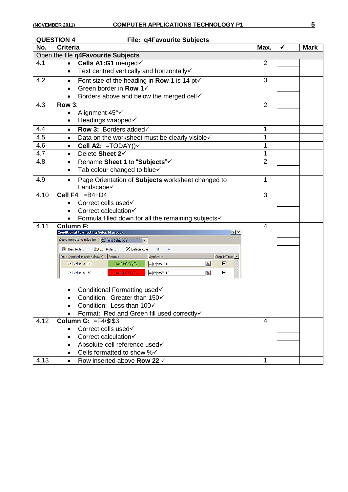### **QUESTION 4 File: q4Favourite Subjects**

| No.  | <b>Criteria</b>                                                                                                        | Max.                     | ✓ | <b>Mark</b> |
|------|------------------------------------------------------------------------------------------------------------------------|--------------------------|---|-------------|
|      | Open the file q4Favourite Subjects                                                                                     |                          |   |             |
| 4.1  | Cells A1:G1 merged√<br>$\bullet$                                                                                       | 2                        |   |             |
|      | Text centred vertically and horizontally√<br>$\bullet$                                                                 |                          |   |             |
| 4.2  | Font size of the heading in <b>Row 1</b> is 14 pt $\checkmark$<br>$\bullet$                                            | 3                        |   |             |
|      | Green border in Row 1√<br>$\bullet$                                                                                    |                          |   |             |
|      | Borders above and below the merged cell                                                                                |                          |   |             |
| 4.3  | Row 3:                                                                                                                 | $\overline{2}$           |   |             |
|      | Alignment 45°√<br>$\bullet$                                                                                            |                          |   |             |
|      | Headings wrapped√                                                                                                      |                          |   |             |
| 4.4  | Row 3: Borders added V<br>$\bullet$                                                                                    | 1                        |   |             |
| 4.5  | Data on the worksheet must be clearly visible v<br>$\bullet$                                                           | 1                        |   |             |
| 4.6  | Cell A2: = $TODAY()$<br>$\bullet$                                                                                      | 1                        |   |             |
| 4.7  | Delete Sheet 2 $\checkmark$<br>$\bullet$                                                                               | 1                        |   |             |
| 4.8  | Rename Sheet 1 to "Subjects"√<br>٠                                                                                     | $\overline{2}$           |   |             |
|      | Tab colour changed to blue√                                                                                            |                          |   |             |
| 4.9  | Page Orientation of Subjects worksheet changed to<br>$\bullet$                                                         | 1                        |   |             |
|      | Landscape√                                                                                                             |                          |   |             |
| 4.10 | Cell F4: $=B4+D4$                                                                                                      | 3                        |   |             |
|      | Correct cells used√                                                                                                    |                          |   |             |
|      | Correct calculation√<br>$\bullet$                                                                                      |                          |   |             |
|      | Formula filled down for all the remaining subjects√                                                                    |                          |   |             |
| 4.11 | <b>Column F:</b>                                                                                                       | $\overline{\mathcal{L}}$ |   |             |
|      | <b>Conditional Formatting Rules Manager</b><br> ? X                                                                    |                          |   |             |
|      | Show formatting rules for: Current Selection                                                                           |                          |   |             |
|      | X Delete Rule<br>b Edit Rule<br>٠<br>New Rule<br>合<br>Stop If True                                                     |                          |   |             |
|      | Rule (applied in order shown)<br>Format<br>Applies to<br>匧<br>⊽<br>AaBbCcYyZz<br>=\$F\$4:\$F\$12<br>Cell Value $<$ 100 |                          |   |             |
|      | ⊽                                                                                                                      |                          |   |             |
|      | 嶐<br>AaBbCcYyZz<br>=\$F\$4:\$F\$12<br>Cell Value $> 150$                                                               |                          |   |             |
|      |                                                                                                                        |                          |   |             |
|      | Conditional Formatting used√                                                                                           |                          |   |             |
|      | Condition: Greater than 150√                                                                                           |                          |   |             |
|      | Condition: Less than $100<$                                                                                            |                          |   |             |
| 4.12 | Format: Red and Green fill used correctly√<br>Column G: $=$ $F4$ / $$$ l $$3$                                          | $\overline{\mathcal{L}}$ |   |             |
|      | Correct cells used√<br>$\bullet$                                                                                       |                          |   |             |
|      | Correct calculation√                                                                                                   |                          |   |             |
|      | Absolute cell reference used√                                                                                          |                          |   |             |
|      | Cells formatted to show %√                                                                                             |                          |   |             |
| 4.13 | Row inserted above Row 22 $\checkmark$<br>$\bullet$                                                                    | 1                        |   |             |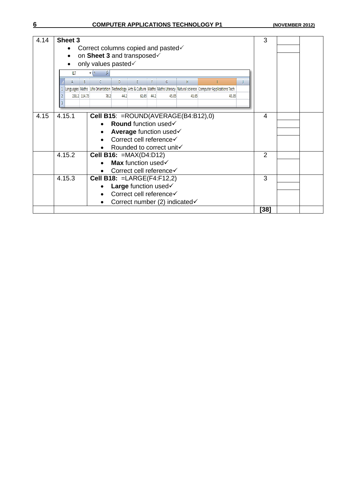### **6 COMPUTER APPLICATIONS TECHNOLOGY P1 (NOVEMBER 2012)**

| 4.14 | Sheet 3                                                                                                                    | 3              |  |
|------|----------------------------------------------------------------------------------------------------------------------------|----------------|--|
|      | Correct columns copied and pasted√<br>$\bullet$                                                                            |                |  |
|      | on Sheet 3 and transposed<br>$\bullet$                                                                                     |                |  |
|      | only values pasted√                                                                                                        |                |  |
|      | fx<br>117                                                                                                                  |                |  |
|      | G<br>H<br>D<br>B<br>р                                                                                                      |                |  |
|      | Languages Maths Life Oriantation Technology Arts & Culture Maths Maths Literacy Natural science Computer Applications Tech |                |  |
|      | 231.2 114.75<br>78.2<br>44.2<br>44.2<br>62.05<br>45.05<br>41.65<br>43.35                                                   |                |  |
|      |                                                                                                                            |                |  |
| 4.15 | 4.15.1                                                                                                                     | 4              |  |
|      | Cell B15: = ROUND(AVERAGE(B4:B12),0)<br><b>Round</b> function used√                                                        |                |  |
|      |                                                                                                                            |                |  |
|      | <b>Average function used√</b>                                                                                              |                |  |
|      | Correct cell reference√                                                                                                    |                |  |
|      | Rounded to correct unit√                                                                                                   |                |  |
|      | 4.15.2<br>Cell B16: $=MAX(D4:D12)$                                                                                         | $\overline{2}$ |  |
|      | Max function used $\checkmark$                                                                                             |                |  |
|      | Correct cell reference√                                                                                                    |                |  |
|      | 4.15.3<br><b>Cell B18: = LARGE (F4:F12,2)</b>                                                                              | 3              |  |
|      | Large function used $\checkmark$                                                                                           |                |  |
|      | Correct cell reference√                                                                                                    |                |  |
|      | Correct number (2) indicated√                                                                                              |                |  |
|      |                                                                                                                            | ่ 38]          |  |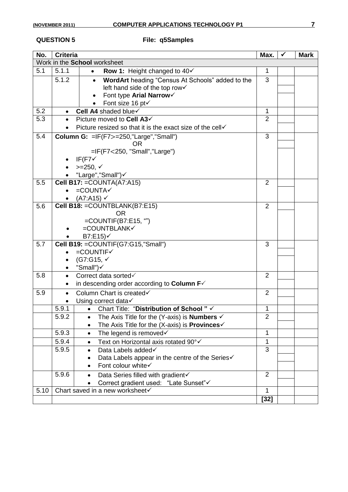### **QUESTION 5 File: q5Samples**

| No.  | <b>Criteria</b> |                                                                                      | Max.           | $\checkmark$ | <b>Mark</b> |
|------|-----------------|--------------------------------------------------------------------------------------|----------------|--------------|-------------|
|      |                 | Work in the School worksheet                                                         |                |              |             |
| 5.1  | 5.1.1           | <b>Row 1: Height changed to 40√</b><br>$\bullet$                                     | $\mathbf{1}$   |              |             |
|      | 5.1.2           | WordArt heading "Census At Schools" added to the                                     | 3              |              |             |
|      |                 | left hand side of the top row√                                                       |                |              |             |
|      |                 | Font type Arial Narrow                                                               |                |              |             |
|      |                 | Font size 16 pt√<br>$\bullet$                                                        |                |              |             |
| 5.2  | $\bullet$       | Cell A4 shaded blue                                                                  | $\mathbf{1}$   |              |             |
| 5.3  |                 | Picture moved to Cell A3√                                                            | $\overline{2}$ |              |             |
|      |                 | Picture resized so that it is the exact size of the cell√                            |                |              |             |
| 5.4  |                 | Column G: $=IF(F7>=250," Large", "Small")$                                           | 3              |              |             |
|      |                 | OR                                                                                   |                |              |             |
|      |                 | $=$ IF(F7<250, "Small", "Large")                                                     |                |              |             |
|      |                 | $IF$ (F7 $\checkmark$                                                                |                |              |             |
|      |                 | $>=250, √$                                                                           |                |              |             |
| 5.5  |                 | "Large","Small")<br>Cell B17: = COUNTA(A7:A15)                                       | $\overline{2}$ |              |             |
|      |                 | $=$ COUNTA $\checkmark$                                                              |                |              |             |
|      | $\bullet$       | (A7:A15) ✔                                                                           |                |              |             |
| 5.6  |                 | Cell B18: = COUNTBLANK(B7:E15)                                                       | $\overline{2}$ |              |             |
|      |                 | <b>OR</b>                                                                            |                |              |             |
|      |                 | $=$ COUNTIF(B7:E15, "")                                                              |                |              |             |
|      |                 | $=$ COUNTBLANK $\checkmark$                                                          |                |              |             |
|      |                 | B7: E15                                                                              |                |              |             |
| 5.7  |                 | Cell B19: = COUNTIF(G7:G15,"Small")                                                  | 3              |              |             |
|      |                 | $=$ COUNTIF $\checkmark$                                                             |                |              |             |
|      |                 | (G7:G15, $√$                                                                         |                |              |             |
|      | $\bullet$       | "Small")√                                                                            |                |              |             |
| 5.8  | $\bullet$       | Correct data sorted                                                                  | $\overline{2}$ |              |             |
|      |                 | in descending order according to Column $F\checkmark$                                |                |              |             |
| 5.9  | $\bullet$       | Column Chart is created√                                                             | 2              |              |             |
|      |                 | Using correct data√                                                                  | $\mathbf{1}$   |              |             |
|      | 5.9.1           | Chart Title: "Distribution of School" √<br>$\bullet$                                 | $\overline{2}$ |              |             |
|      | 5.9.2           | The Axis Title for the (Y-axis) is <b>Numbers</b> $\checkmark$<br>$\bullet$          |                |              |             |
|      | 5.9.3           | The Axis Title for the (X-axis) is Provinces√<br>The legend is removed√<br>$\bullet$ | $\mathbf{1}$   |              |             |
|      |                 |                                                                                      | 1              |              |             |
|      | 5.9.4<br>5.9.5  | Text on Horizontal axis rotated 90°√<br>$\bullet$<br>Data Labels added√              | 3              |              |             |
|      |                 | Data Labels appear in the centre of the Series√                                      |                |              |             |
|      |                 | Font colour white v                                                                  |                |              |             |
|      | 5.9.6           |                                                                                      | 2              |              |             |
|      |                 | Data Series filled with gradient√                                                    |                |              |             |
| 5.10 |                 | Correct gradient used: "Late Sunset" v<br>Chart saved in a new worksheet√            | $\mathbf{1}$   |              |             |
|      |                 |                                                                                      | $[32]$         |              |             |
|      |                 |                                                                                      |                |              |             |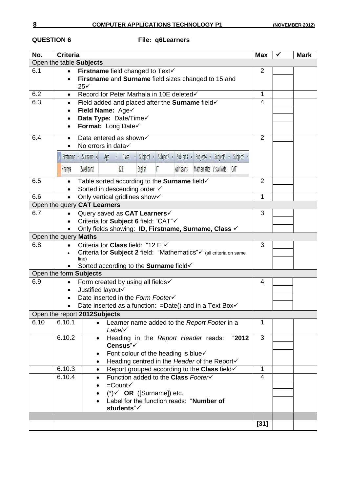## **QUESTION 6 File: q6Learners**

| No.  | <b>Criteria</b>                                      |                                                                                                                      | <b>Max</b>     | ✔ | <b>Mark</b> |  |  |
|------|------------------------------------------------------|----------------------------------------------------------------------------------------------------------------------|----------------|---|-------------|--|--|
|      |                                                      | Open the table Subjects                                                                                              |                |   |             |  |  |
| 6.1  | $\bullet$                                            | Firstname field changed to Text√                                                                                     | $\overline{2}$ |   |             |  |  |
|      | $\bullet$                                            | Firstname and Surname field sizes changed to 15 and                                                                  |                |   |             |  |  |
|      |                                                      | 25 <sub>1</sub>                                                                                                      |                |   |             |  |  |
| 6.2  |                                                      | Record for Peter Marhala in 10E deleted√                                                                             | 1              |   |             |  |  |
| 6.3  | $\bullet$                                            | Field added and placed after the Surname field√                                                                      | $\overline{4}$ |   |             |  |  |
|      |                                                      | Field Name: Age√                                                                                                     |                |   |             |  |  |
|      | $\bullet$                                            | Data Type: Date/Time                                                                                                 |                |   |             |  |  |
|      |                                                      | Format: Long Date                                                                                                    |                |   |             |  |  |
| 6.4  |                                                      | Data entered as shown√                                                                                               | $\overline{2}$ |   |             |  |  |
|      |                                                      | No errors in data√                                                                                                   |                |   |             |  |  |
|      |                                                      | Subject4 - Subject5 - Subject6 -<br>v Subject1 v Subject2 v<br>Subject3 ·<br>Firstname • Surname •<br>Age v<br>Class |                |   |             |  |  |
|      |                                                      |                                                                                                                      |                |   |             |  |  |
|      | Khanya                                               | Mathematics Visual Arts<br>Zwelibanzi<br><b>English</b><br>Adrikaans<br>12E<br>ſ<br>CAT                              |                |   |             |  |  |
| 6.5  |                                                      | Table sorted according to the Surname field                                                                          | $\overline{2}$ |   |             |  |  |
|      |                                                      | Sorted in descending order √                                                                                         |                |   |             |  |  |
| 6.6  |                                                      | Only vertical gridlines show√                                                                                        | 1              |   |             |  |  |
|      |                                                      | Open the query CAT Learners                                                                                          |                |   |             |  |  |
| 6.7  |                                                      | Query saved as CAT Learners√                                                                                         | 3              |   |             |  |  |
|      |                                                      | Criteria for Subject 6 field: "CAT"√                                                                                 |                |   |             |  |  |
|      | Only fields showing: ID, Firstname, Surname, Class √ |                                                                                                                      |                |   |             |  |  |
|      | Open the query Maths                                 |                                                                                                                      |                |   |             |  |  |
| 6.8  |                                                      | Criteria for Class field: "12 E"√                                                                                    | 3              |   |             |  |  |
|      |                                                      | Criteria for Subject 2 field: "Mathematics" v (all criteria on same<br>line)                                         |                |   |             |  |  |
|      |                                                      | Sorted according to the Surname field√                                                                               |                |   |             |  |  |
|      |                                                      | Open the form Subjects                                                                                               |                |   |             |  |  |
| 6.9  | $\bullet$                                            | Form created by using all fields√                                                                                    | 4              |   |             |  |  |
|      |                                                      | Justified layout                                                                                                     |                |   |             |  |  |
|      |                                                      | Date inserted in the Form Footer√                                                                                    |                |   |             |  |  |
|      |                                                      | Date inserted as a function: $=$ Date() and in a Text Box $\checkmark$                                               |                |   |             |  |  |
|      |                                                      | Open the report 2012Subjects                                                                                         |                |   |             |  |  |
| 6.10 | 6.10.1                                               | Learner name added to the Report Footer in a                                                                         | 1              |   |             |  |  |
|      |                                                      | $Label \checkmark$                                                                                                   |                |   |             |  |  |
|      | 6.10.2                                               | Heading in the Report Header reads:<br>"2012"<br>$\bullet$                                                           | $\overline{3}$ |   |             |  |  |
|      |                                                      | Census"√                                                                                                             |                |   |             |  |  |
|      |                                                      | Font colour of the heading is blue√                                                                                  |                |   |             |  |  |
|      | 6.10.3                                               | Heading centred in the Header of the Report√<br>Report grouped according to the Class field√<br>$\bullet$            | 1              |   |             |  |  |
|      | 6.10.4                                               | Function added to the Class Footer√                                                                                  | 4              |   |             |  |  |
|      |                                                      | $=$ Count $\checkmark$                                                                                               |                |   |             |  |  |
|      |                                                      | (*)√ OR ([Surname]) etc.                                                                                             |                |   |             |  |  |
|      |                                                      | Label for the function reads: "Number of                                                                             |                |   |             |  |  |
|      |                                                      | students"√                                                                                                           |                |   |             |  |  |
|      |                                                      |                                                                                                                      |                |   |             |  |  |
|      |                                                      |                                                                                                                      | $[31]$         |   |             |  |  |